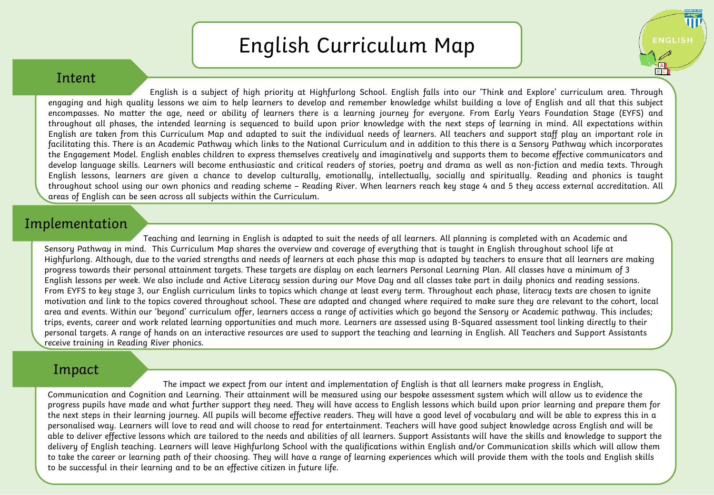## English Curriculum Map

UЦ

**ENGLISH** 

## Intent

English is a subject of high priority at Highfurlong School. English falls into our 'Think and Explore' curriculum area. Through engaging and high quality lessons we aim to help learners to develop and remember knowledge whilst building a love of English and all that this subject encompasses. No matter the age, need or ability of learners there is a learning journey for everyone. From Early Years Foundation Stage (EYFS) and throughout all phases, the intended learning is sequenced to build upon prior knowledge with the next steps of learning in mind. All expectations within English are taken from this Curriculum Map and adapted to suit the individual needs of learners. All teachers and support staff play an important role in facilitating this. There is an Academic Pathway which links to the National Curriculum and in addition to this there is a Sensory Pathway which incorporates the Engagement Model. English enables children to express themselves creatively and imaginatively and supports them to become effective communicators and develop language skills. Learners will become enthusiastic and critical readers of stories, poetry and drama as well as non-fiction and media texts. Through English lessons, learners are given a chance to develop culturally, emotionally, intellectually, socially and spiritually. Reading and phonics is taught throughout school using our own phonics and reading scheme – Reading River. When learners reach key stage 4 and 5 they access external accreditation. All areas of English can be seen across all subjects within the Curriculum.

## Implementation

Teaching and learning in English is adapted to suit the needs of all learners. All planning is completed with an Academic and Sensory Pathway in mind. This Curriculum Map shares the overview and coverage of everything that is taught in English throughout school life at Highfurlong. Although, due to the varied strengths and needs of learners at each phase this map is adapted by teachers to ensure that all learners are making progress towards their personal attainment targets. These targets are display on each learners Personal Learning Plan. All classes have a minimum of 3 English lessons per week. We also include and Active Literacy session during our Move Day and all classes take part in daily phonics and reading sessions. From EYFS to key stage 3, our English curriculum links to topics which change at least every term. Throughout each phase, literacy texts are chosen to ignite motivation and link to the topics covered throughout school. These are adapted and changed where required to make sure they are relevant to the cohort, local area and events. Within our 'beyond' curriculum offer, learners access a range of activities which go beyond the Sensory or Academic pathway. This includes; trips, events, career and work related learning opportunities and much more. Learners are assessed using B-Squared assessment tool linking directly to their personal targets. A range of hands on an interactive resources are used to support the teaching and learning in English. All Teachers and Support Assistants receive training in Reading River phonics.

## Impact

The impact we expect from our intent and implementation of English is that all learners make progress in English, Communication and Cognition and Learning. Their attainment will be measured using our bespoke assessment system which will allow us to evidence the progress pupils have made and what further support they need. They will have access to English lessons which build upon prior learning and prepare them for the next steps in their learning journey. All pupils will become effective readers. They will have a good level of vocabulary and will be able to express this in a personalised way. Learners will love to read and will choose to read for entertainment. Teachers will have good subject knowledge across English and will be able to deliver effective lessons which are tailored to the needs and abilities of all learners. Support Assistants will have the skills and knowledge to support the delivery of English teaching. Learners will leave Highfurlong School with the qualifications within English and/or Communication skills which will allow them to take the career or learning path of their choosing. They will have a range of learning experiences which will provide them with the tools and English skills to be successful in their learning and to be an effective citizen in future life.